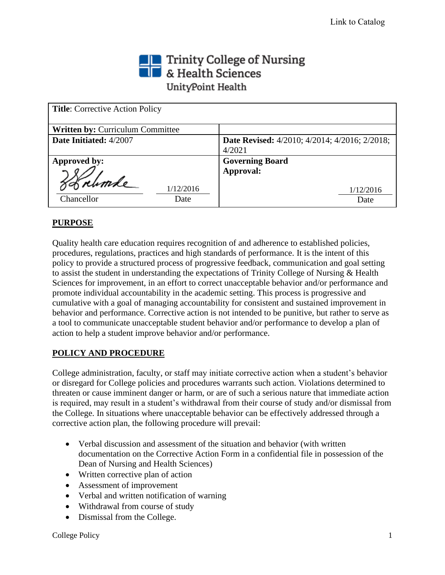# Trinity College of Nursing<br> **The State Sciences** UnityPoint Health

| <b>Title:</b> Corrective Action Policy |                                                      |
|----------------------------------------|------------------------------------------------------|
| Written by: Curriculum Committee       |                                                      |
| Date Initiated: 4/2007                 | <b>Date Revised:</b> 4/2010; 4/2014; 4/2016; 2/2018; |
|                                        | 4/2021                                               |
| Approved by:                           | <b>Governing Board</b>                               |
|                                        | Approval:                                            |
| 1/12/2016                              | 1/12/2016                                            |
| Chancellor<br>Date                     | Date                                                 |

# **PURPOSE**

Quality health care education requires recognition of and adherence to established policies, procedures, regulations, practices and high standards of performance. It is the intent of this policy to provide a structured process of progressive feedback, communication and goal setting to assist the student in understanding the expectations of Trinity College of Nursing & Health Sciences for improvement, in an effort to correct unacceptable behavior and/or performance and promote individual accountability in the academic setting. This process is progressive and cumulative with a goal of managing accountability for consistent and sustained improvement in behavior and performance. Corrective action is not intended to be punitive, but rather to serve as a tool to communicate unacceptable student behavior and/or performance to develop a plan of action to help a student improve behavior and/or performance.

## **POLICY AND PROCEDURE**

College administration, faculty, or staff may initiate corrective action when a student's behavior or disregard for College policies and procedures warrants such action. Violations determined to threaten or cause imminent danger or harm, or are of such a serious nature that immediate action is required, may result in a student's withdrawal from their course of study and/or dismissal from the College. In situations where unacceptable behavior can be effectively addressed through a corrective action plan, the following procedure will prevail:

- Verbal discussion and assessment of the situation and behavior (with written documentation on the Corrective Action Form in a confidential file in possession of the Dean of Nursing and Health Sciences)
- Written corrective plan of action
- Assessment of improvement
- Verbal and written notification of warning
- Withdrawal from course of study
- Dismissal from the College.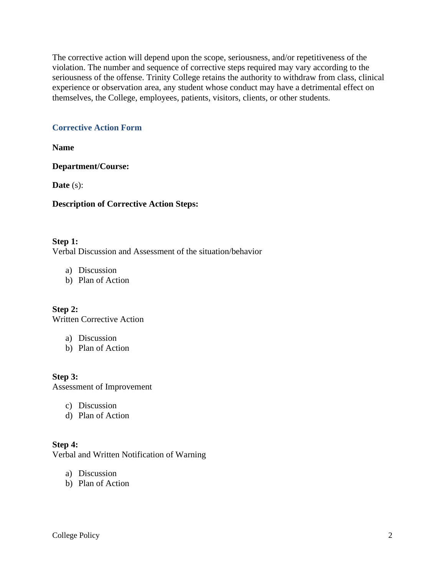The corrective action will depend upon the scope, seriousness, and/or repetitiveness of the violation. The number and sequence of corrective steps required may vary according to the seriousness of the offense. Trinity College retains the authority to withdraw from class, clinical experience or observation area, any student whose conduct may have a detrimental effect on themselves, the College, employees, patients, visitors, clients, or other students.

## **Corrective Action Form**

**Name** 

**Department/Course:** 

**Date** (s):

#### **Description of Corrective Action Steps:**

**Step 1:** Verbal Discussion and Assessment of the situation/behavior

- a) Discussion
- b) Plan of Action

**Step 2:** Written Corrective Action

- a) Discussion
- b) Plan of Action

**Step 3:** Assessment of Improvement

- c) Discussion
- d) Plan of Action

## **Step 4:**

Verbal and Written Notification of Warning

- a) Discussion
- b) Plan of Action